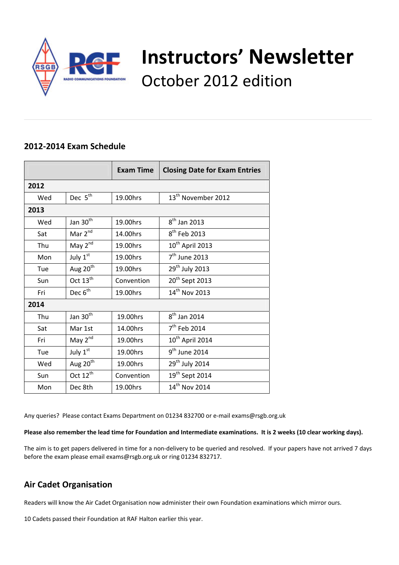

# **Instructors' Newsletter** October 2012 edition

## **2012‐2014 Exam Schedule**

|      |                      | <b>Exam Time</b> | <b>Closing Date for Exam Entries</b> |  |
|------|----------------------|------------------|--------------------------------------|--|
| 2012 |                      |                  |                                      |  |
| Wed  | Dec 5 <sup>th</sup>  | 19.00hrs         | 13 <sup>th</sup> November 2012       |  |
| 2013 |                      |                  |                                      |  |
| Wed  | Jan $30th$           | 19.00hrs         | $8th$ Jan 2013                       |  |
| Sat  | Mar 2 <sup>nd</sup>  | 14.00hrs         | 8 <sup>th</sup> Feb 2013             |  |
| Thu  | May $2^{nd}$         | 19.00hrs         | $10^{th}$ April 2013                 |  |
| Mon  | July 1st             | 19.00hrs         | $7th$ June 2013                      |  |
| Tue  | Aug 20 <sup>th</sup> | 19.00hrs         | 29 <sup>th</sup> July 2013           |  |
| Sun  | Oct $13th$           | Convention       | 20 <sup>th</sup> Sept 2013           |  |
| Fri  | Dec $6^{th}$         | 19.00hrs         | 14 <sup>th</sup> Nov 2013            |  |
| 2014 |                      |                  |                                      |  |
| Thu  | Jan 30 <sup>th</sup> | 19.00hrs         | $8th$ Jan 2014                       |  |
| Sat  | Mar 1st              | 14.00hrs         | $7th$ Feb 2014                       |  |
| Fri  | May 2nd              | 19.00hrs         | 10 <sup>th</sup> April 2014          |  |
| Tue  | July 1st             | 19.00hrs         | $9th$ June 2014                      |  |
| Wed  | Aug 20 <sup>th</sup> | 19.00hrs         | 29 <sup>th</sup> July 2014           |  |
| Sun  | Oct 12 <sup>th</sup> | Convention       | 19 <sup>th</sup> Sept 2014           |  |
| Mon  | Dec 8th              | 19.00hrs         | 14 <sup>th</sup> Nov 2014            |  |

Any queries? Please contact Exams Department on 01234 832700 or e-mail exams@rsgb.org.uk

Please also remember the lead time for Foundation and Intermediate examinations. It is 2 weeks (10 clear working days).

The aim is to get papers delivered in time for a non-delivery to be queried and resolved. If your papers have not arrived 7 days before the exam please email exams@rsgb.org.uk or ring 01234 832717.

# **Air Cadet Organisation**

Readers will know the Air Cadet Organisation now administer their own Foundation examinations which mirror ours.

10 Cadets passed their Foundation at RAF Halton earlier this year.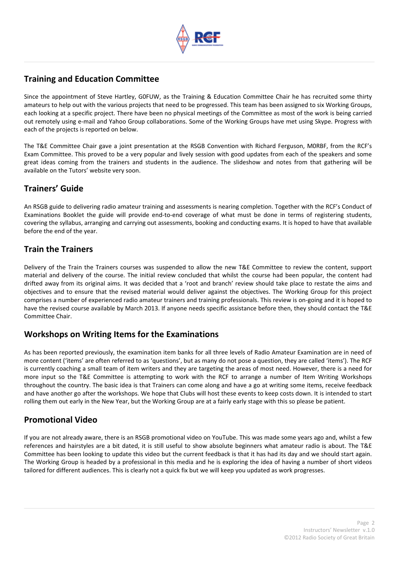

# **Training and Education Committee**

Since the appointment of Steve Hartley, G0FUW, as the Training & Education Committee Chair he has recruited some thirty amateurs to help out with the various projects that need to be progressed. This team has been assigned to six Working Groups, each looking at a specific project. There have been no physical meetings of the Committee as most of the work is being carried out remotely using e‐mail and Yahoo Group collaborations. Some of the Working Groups have met using Skype. Progress with each of the projects is reported on below.

The T&E Committee Chair gave a joint presentation at the RSGB Convention with Richard Ferguson, M0RBF, from the RCF's Exam Committee. This proved to be a very popular and lively session with good updates from each of the speakers and some great ideas coming from the trainers and students in the audience. The slideshow and notes from that gathering will be available on the Tutors' website very soon.

# **Trainers' Guide**

An RSGB guide to delivering radio amateur training and assessments is nearing completion. Together with the RCF's Conduct of Examinations Booklet the guide will provide end-to-end coverage of what must be done in terms of registering students, covering the syllabus, arranging and carrying out assessments, booking and conducting exams. It is hoped to have that available before the end of the year.

# **Train the Trainers**

Delivery of the Train the Trainers courses was suspended to allow the new T&E Committee to review the content, support material and delivery of the course. The initial review concluded that whilst the course had been popular, the content had drifted away from its original aims. It was decided that a 'root and branch' review should take place to restate the aims and objectives and to ensure that the revised material would deliver against the objectives. The Working Group for this project comprises a number of experienced radio amateur trainers and training professionals. This review is on‐going and it is hoped to have the revised course available by March 2013. If anyone needs specific assistance before then, they should contact the T&E Committee Chair.

# **Workshops on Writing Items for the Examinations**

As has been reported previously, the examination item banks for all three levels of Radio Amateur Examination are in need of more content ('items' are often referred to as 'questions', but as many do not pose a question, they are called 'items'). The RCF is currently coaching a small team of item writers and they are targeting the areas of most need. However, there is a need for more input so the T&E Committee is attempting to work with the RCF to arrange a number of Item Writing Workshops throughout the country. The basic idea is that Trainers can come along and have a go at writing some items, receive feedback and have another go after the workshops. We hope that Clubs will host these events to keep costs down. It is intended to start rolling them out early in the New Year, but the Working Group are at a fairly early stage with this so please be patient.

# **Promotional Video**

If you are not already aware, there is an RSGB promotional video on YouTube. This was made some years ago and, whilst a few references and hairstyles are a bit dated, it is still useful to show absolute beginners what amateur radio is about. The T&E Committee has been looking to update this video but the current feedback is that it has had its day and we should start again. The Working Group is headed by a professional in this media and he is exploring the idea of having a number of short videos tailored for different audiences. This is clearly not a quick fix but we will keep you updated as work progresses.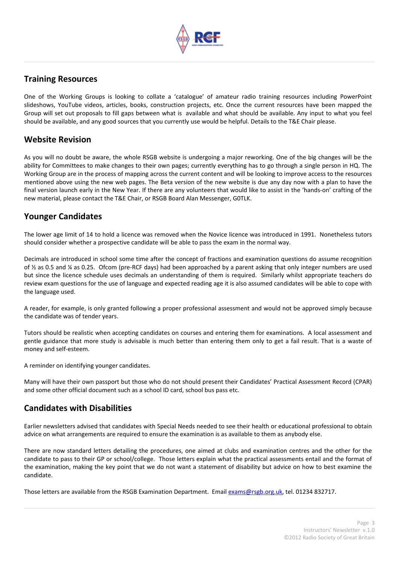

## **Training Resources**

One of the Working Groups is looking to collate a 'catalogue' of amateur radio training resources including PowerPoint slideshows, YouTube videos, articles, books, construction projects, etc. Once the current resources have been mapped the Group will set out proposals to fill gaps between what is available and what should be available. Any input to what you feel should be available, and any good sources that you currently use would be helpful. Details to the T&E Chair please.

## **Website Revision**

As you will no doubt be aware, the whole RSGB website is undergoing a major reworking. One of the big changes will be the ability for Committees to make changes to their own pages; currently everything has to go through a single person in HQ. The Working Group are in the process of mapping across the current content and will be looking to improve access to the resources mentioned above using the new web pages. The Beta version of the new website is due any day now with a plan to have the final version launch early in the New Year. If there are any volunteers that would like to assist in the 'hands-on' crafting of the new material, please contact the T&E Chair, or RSGB Board Alan Messenger, G0TLK.

## **Younger Candidates**

The lower age limit of 14 to hold a licence was removed when the Novice licence was introduced in 1991. Nonetheless tutors should consider whether a prospective candidate will be able to pass the exam in the normal way.

Decimals are introduced in school some time after the concept of fractions and examination questions do assume recognition of ½ as 0.5 and ¼ as 0.25. Ofcom (pre‐RCF days) had been approached by a parent asking that only integer numbers are used but since the licence schedule uses decimals an understanding of them is required. Similarly whilst appropriate teachers do review exam questions for the use of language and expected reading age it is also assumed candidates will be able to cope with the language used.

A reader, for example, is only granted following a proper professional assessment and would not be approved simply because the candidate was of tender years.

Tutors should be realistic when accepting candidates on courses and entering them for examinations. A local assessment and gentle guidance that more study is advisable is much better than entering them only to get a fail result. That is a waste of money and self‐esteem.

A reminder on identifying younger candidates.

Many will have their own passport but those who do not should present their Candidates' Practical Assessment Record (CPAR) and some other official document such as a school ID card, school bus pass etc.

## **Candidates with Disabilities**

Earlier newsletters advised that candidates with Special Needs needed to see their health or educational professional to obtain advice on what arrangements are required to ensure the examination is as available to them as anybody else.

There are now standard letters detailing the procedures, one aimed at clubs and examination centres and the other for the candidate to pass to their GP or school/college. Those letters explain what the practical assessments entail and the format of the examination, making the key point that we do not want a statement of disability but advice on how to best examine the candidate.

Those letters are available from the RSGB Examination Department. Email exams@rsgb.org.uk, tel. 01234 832717.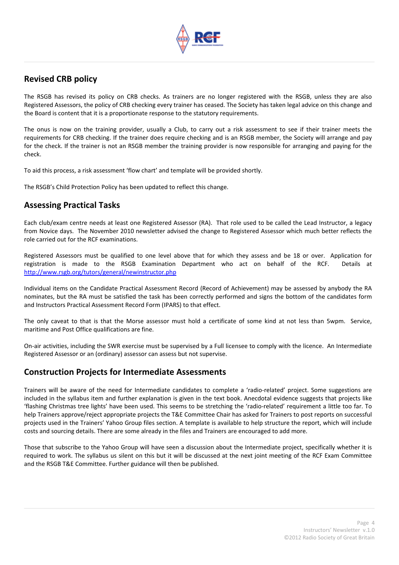

## **Revised CRB policy**

The RSGB has revised its policy on CRB checks. As trainers are no longer registered with the RSGB, unless they are also Registered Assessors, the policy of CRB checking every trainer has ceased. The Society has taken legal advice on this change and the Board is content that it is a proportionate response to the statutory requirements.

The onus is now on the training provider, usually a Club, to carry out a risk assessment to see if their trainer meets the requirements for CRB checking. If the trainer does require checking and is an RSGB member, the Society will arrange and pay for the check. If the trainer is not an RSGB member the training provider is now responsible for arranging and paying for the check.

To aid this process, a risk assessment 'flow chart' and template will be provided shortly.

The RSGB's Child Protection Policy has been updated to reflect this change.

## **Assessing Practical Tasks**

Each club/exam centre needs at least one Registered Assessor (RA). That role used to be called the Lead Instructor, a legacy from Novice days. The November 2010 newsletter advised the change to Registered Assessor which much better reflects the role carried out for the RCF examinations.

Registered Assessors must be qualified to one level above that for which they assess and be 18 or over. Application for registration is made to the RSGB Examination Department who act on behalf of the RCF. Details at http://www.rsgb.org/tutors/general/newinstructor.php

Individual items on the Candidate Practical Assessment Record (Record of Achievement) may be assessed by anybody the RA nominates, but the RA must be satisfied the task has been correctly performed and signs the bottom of the candidates form and Instructors Practical Assessment Record Form (IPARS) to that effect.

The only caveat to that is that the Morse assessor must hold a certificate of some kind at not less than 5wpm. Service, maritime and Post Office qualifications are fine.

On‐air activities, including the SWR exercise must be supervised by a Full licensee to comply with the licence. An Intermediate Registered Assessor or an (ordinary) assessor can assess but not supervise.

## **Construction Projects for Intermediate Assessments**

Trainers will be aware of the need for Intermediate candidates to complete a 'radio‐related' project. Some suggestions are included in the syllabus item and further explanation is given in the text book. Anecdotal evidence suggests that projects like 'flashing Christmas tree lights' have been used. This seems to be stretching the 'radio‐related' requirement a little too far. To help Trainers approve/reject appropriate projects the T&E Committee Chair has asked for Trainers to post reports on successful projects used in the Trainers' Yahoo Group files section. A template is available to help structure the report, which will include costs and sourcing details. There are some already in the files and Trainers are encouraged to add more.

Those that subscribe to the Yahoo Group will have seen a discussion about the Intermediate project, specifically whether it is required to work. The syllabus us silent on this but it will be discussed at the next joint meeting of the RCF Exam Committee and the RSGB T&E Committee. Further guidance will then be published.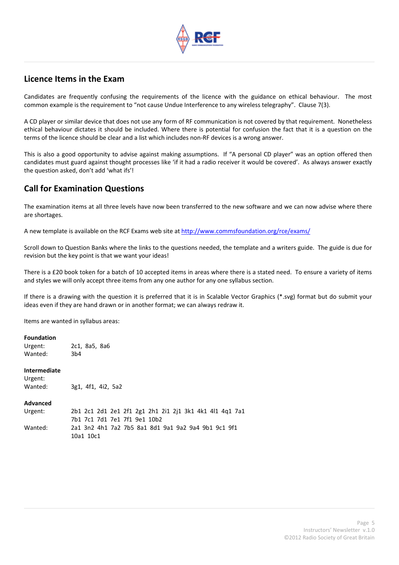

## **Licence Items in the Exam**

Candidates are frequently confusing the requirements of the licence with the guidance on ethical behaviour. The most common example is the requirement to "not cause Undue Interference to any wireless telegraphy". Clause 7(3).

A CD player or similar device that does not use any form of RF communication is not covered by that requirement. Nonetheless ethical behaviour dictates it should be included. Where there is potential for confusion the fact that it is a question on the terms of the licence should be clear and a list which includes non‐RF devices is a wrong answer.

This is also a good opportunity to advise against making assumptions. If "A personal CD player" was an option offered then candidates must guard against thought processes like 'if it had a radio receiver it would be covered'. As always answer exactly the question asked, don't add 'what ifs'!

# **Call for Examination Questions**

The examination items at all three levels have now been transferred to the new software and we can now advise where there are shortages.

A new template is available on the RCF Exams web site at http://www.commsfoundation.org/rce/exams/

Scroll down to Question Banks where the links to the questions needed, the template and a writers guide. The guide is due for revision but the key point is that we want your ideas!

There is a £20 book token for a batch of 10 accepted items in areas where there is a stated need. To ensure a variety of items and styles we will only accept three items from any one author for any one syllabus section.

If there is a drawing with the question it is preferred that it is in Scalable Vector Graphics (\*.svg) format but do submit your ideas even if they are hand drawn or in another format; we can always redraw it.

Items are wanted in syllabus areas:

### **Foundation**

Urgent: 2c1, 8a5, 8a6 Wanted: 3b4

#### **Intermediate**

```
Urgent:   
Wanted:                3g1,  4f1,  4i2,  5a2
```
**Advanced**

| Urgent: | 2b1 2c1 2d1 2e1 2f1 2g1 2h1 2i1 2j1 3k1 4k1 4l1 4g1 7a1 |
|---------|---------------------------------------------------------|
|         | 7b1 7c1 7d1 7e1 7f1 9e1 10b2                            |
| Wanted: | 2a1 3n2 4h1 7a2 7b5 8a1 8d1 9a1 9a2 9a4 9b1 9c1 9f1     |
|         | 10a1 10c1                                               |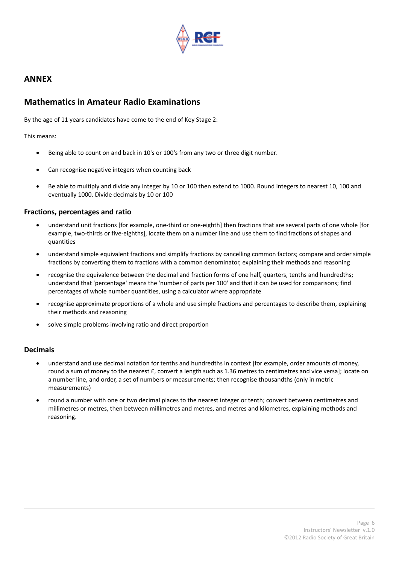

# **ANNEX**

## **Mathematics in Amateur Radio Examinations**

By the age of 11 years candidates have come to the end of Key Stage 2:

This means:

- Being able to count on and back in 10's or 100's from any two or three digit number.
- Can recognise negative integers when counting back
- Be able to multiply and divide any integer by 10 or 100 then extend to 1000. Round integers to nearest 10, 100 and eventually 1000. Divide decimals by 10 or 100

## **Fractions, percentages and ratio**

- understand unit fractions [for example, one‐third or one‐eighth] then fractions that are several parts of one whole [for example, two‐thirds or five‐eighths], locate them on a number line and use them to find fractions of shapes and quantities
- understand simple equivalent fractions and simplify fractions by cancelling common factors; compare and order simple fractions by converting them to fractions with a common denominator, explaining their methods and reasoning
- recognise the equivalence between the decimal and fraction forms of one half, quarters, tenths and hundredths; understand that 'percentage' means the 'number of parts per 100' and that it can be used for comparisons; find percentages of whole number quantities, using a calculator where appropriate
- recognise approximate proportions of a whole and use simple fractions and percentages to describe them, explaining their methods and reasoning
- solve simple problems involving ratio and direct proportion

### **Decimals**

- understand and use decimal notation for tenths and hundredths in context [for example, order amounts of money, round a sum of money to the nearest £, convert a length such as 1.36 metres to centimetres and vice versa]; locate on a number line, and order, a set of numbers or measurements; then recognise thousandths (only in metric measurements)
- round a number with one or two decimal places to the nearest integer or tenth; convert between centimetres and millimetres or metres, then between millimetres and metres, and metres and kilometres, explaining methods and reasoning.